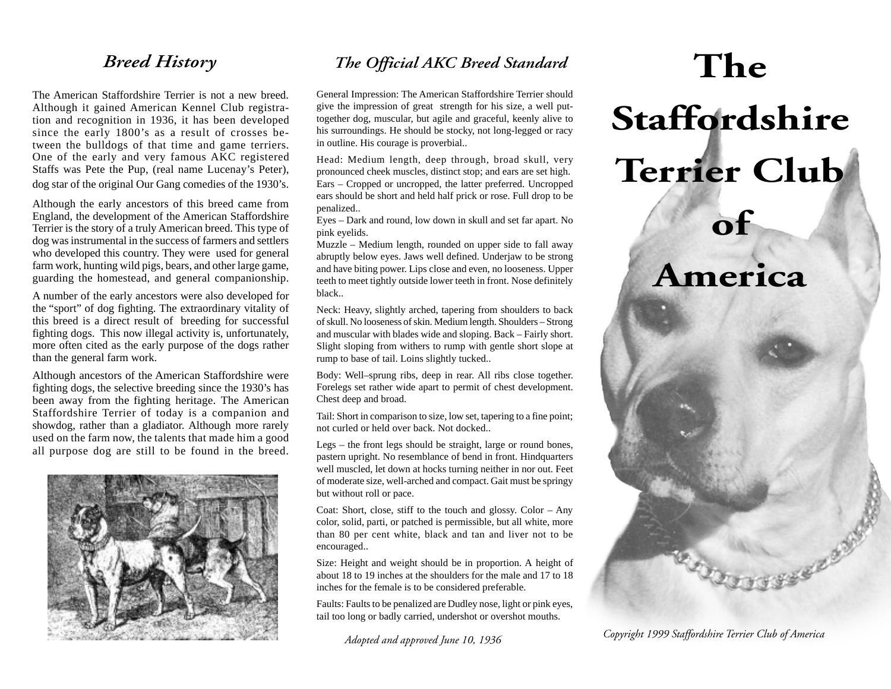### *Breed History*

The American Staffordshire Terrier is not a new breed. Although it gained American Kennel Club registration and recognition in 1936, it has been developed since the early 1800's as a result of crosses between the bulldogs of that time and game terriers. One of the early and very famous AKC registered Staffs was Pete the Pup, (real name Lucenay's Peter), dog star of the original Our Gang comedies of the 1930's.

Although the early ancestors of this breed came from England, the development of the American Staffordshire Terrier is the story of a truly American breed. This type of dog was instrumental in the success of farmers and settlers who developed this country. They were used for general farm work, hunting wild pigs, bears, and other large game, guarding the homestead, and general companionship.

A number of the early ancestors were also developed for the "sport" of dog fighting. The extraordinary vitality of this breed is a direct result of breeding for successful fighting dogs. This now illegal activity is, unfortunately, more often cited as the early purpose of the dogs rather than the general farm work.

Although ancestors of the American Staffordshire were fighting dogs, the selective breeding since the 1930's has been away from the fighting heritage. The American Staffordshire Terrier of today is a companion and showdog, rather than a gladiator. Although more rarely used on the farm now, the talents that made him a good all purpose dog are still to be found in the breed.



## *The Official AKC Breed Standard*

General Impression: The American Staffordshire Terrier should give the impression of great strength for his size, a well puttogether dog, muscular, but agile and graceful, keenly alive to his surroundings. He should be stocky, not long-legged or racy in outline. His courage is proverbial..

Head: Medium length, deep through, broad skull, very pronounced cheek muscles, distinct stop; and ears are set high. Ears – Cropped or uncropped, the latter preferred. Uncropped ears should be short and held half prick or rose. Full drop to be penalized..

Eyes – Dark and round, low down in skull and set far apart. No pink eyelids.

Muzzle – Medium length, rounded on upper side to fall away abruptly below eyes. Jaws well defined. Underjaw to be strong and have biting power. Lips close and even, no looseness. Upper teeth to meet tightly outside lower teeth in front. Nose definitely black..

Neck: Heavy, slightly arched, tapering from shoulders to back of skull. No looseness of skin. Medium length. Shoulders – Strong and muscular with blades wide and sloping. Back – Fairly short. Slight sloping from withers to rump with gentle short slope at rump to base of tail. Loins slightly tucked..

Body: Well–sprung ribs, deep in rear. All ribs close together. Forelegs set rather wide apart to permit of chest development. Chest deep and broad.

Tail: Short in comparison to size, low set, tapering to a fine point; not curled or held over back. Not docked..

Legs – the front legs should be straight, large or round bones, pastern upright. No resemblance of bend in front. Hindquarters well muscled, let down at hocks turning neither in nor out. Feet of moderate size, well-arched and compact. Gait must be springy but without roll or pace.

Coat: Short, close, stiff to the touch and glossy. Color – Any color, solid, parti, or patched is permissible, but all white, more than 80 per cent white, black and tan and liver not to be encouraged..

Size: Height and weight should be in proportion. A height of about 18 to 19 inches at the shoulders for the male and 17 to 18 inches for the female is to be considered preferable.

Faults: Faults to be penalized are Dudley nose, light or pink eyes, tail too long or badly carried, undershot or overshot mouths.

 *Adopted and approved June 10, 1936*

# **The Staffordshire Terrier Club**



**of**